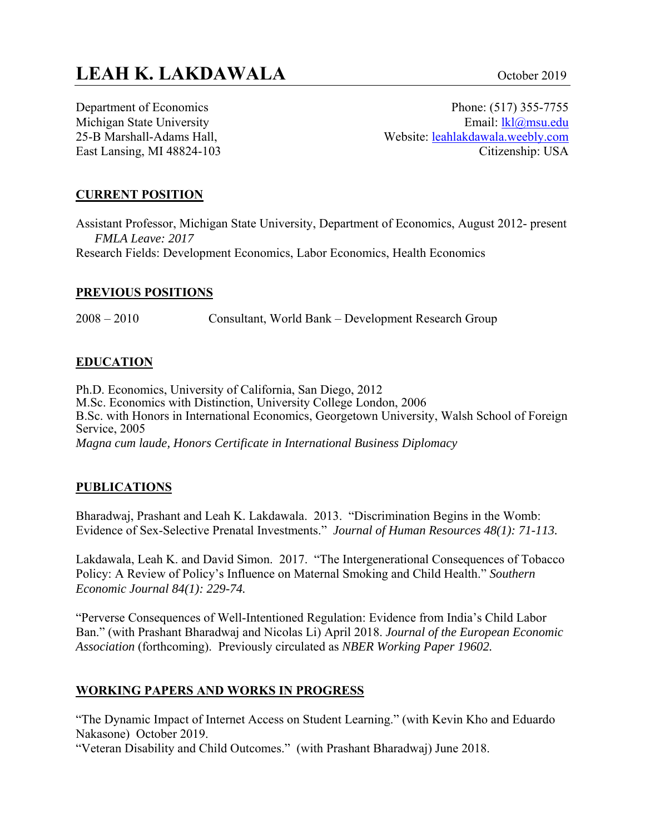Department of Economics Michigan State University 25-B Marshall-Adams Hall, East Lansing, MI 48824-103

Phone: (517) 355-7755 Email: lkl@msu.edu Website: leahlakdawala.weebly.com Citizenship: USA

#### **CURRENT POSITION**

Assistant Professor, Michigan State University, Department of Economics, August 2012- present *FMLA Leave: 2017*  Research Fields: Development Economics, Labor Economics, Health Economics

#### **PREVIOUS POSITIONS**

2008 – 2010 Consultant, World Bank – Development Research Group

#### **EDUCATION**

Ph.D. Economics, University of California, San Diego, 2012 M.Sc. Economics with Distinction, University College London, 2006 B.Sc. with Honors in International Economics, Georgetown University, Walsh School of Foreign Service, 2005 *Magna cum laude, Honors Certificate in International Business Diplomacy* 

#### **PUBLICATIONS**

Bharadwaj, Prashant and Leah K. Lakdawala. 2013. "Discrimination Begins in the Womb: Evidence of Sex-Selective Prenatal Investments."*Journal of Human Resources 48(1): 71-113.* 

Lakdawala, Leah K. and David Simon. 2017. "The Intergenerational Consequences of Tobacco Policy: A Review of Policy's Influence on Maternal Smoking and Child Health." *Southern Economic Journal 84(1): 229-74.* 

"Perverse Consequences of Well-Intentioned Regulation: Evidence from India's Child Labor Ban." (with Prashant Bharadwaj and Nicolas Li) April 2018. *Journal of the European Economic Association* (forthcoming). Previously circulated as *NBER Working Paper 19602.* 

#### **WORKING PAPERS AND WORKS IN PROGRESS**

"The Dynamic Impact of Internet Access on Student Learning." (with Kevin Kho and Eduardo Nakasone) October 2019.

"Veteran Disability and Child Outcomes." (with Prashant Bharadwaj) June 2018.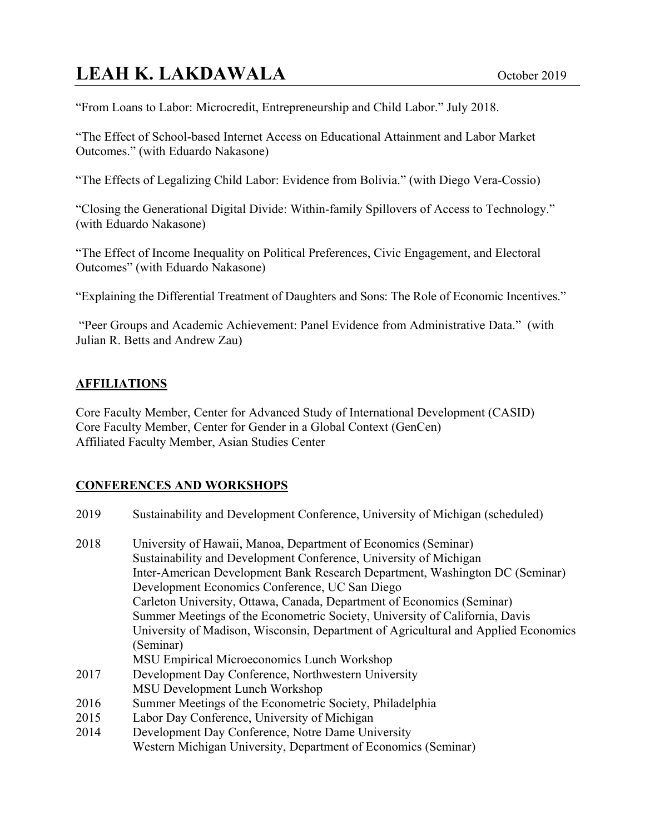"From Loans to Labor: Microcredit, Entrepreneurship and Child Labor." July 2018.

"The Effect of School-based Internet Access on Educational Attainment and Labor Market Outcomes." (with Eduardo Nakasone)

"The Effects of Legalizing Child Labor: Evidence from Bolivia." (with Diego Vera-Cossio)

"Closing the Generational Digital Divide: Within-family Spillovers of Access to Technology." (with Eduardo Nakasone)

"The Effect of Income Inequality on Political Preferences, Civic Engagement, and Electoral Outcomes" (with Eduardo Nakasone)

"Explaining the Differential Treatment of Daughters and Sons: The Role of Economic Incentives."

"Peer Groups and Academic Achievement: Panel Evidence from Administrative Data." (with Julian R. Betts and Andrew Zau)

#### **AFFILIATIONS**

Core Faculty Member, Center for Advanced Study of International Development (CASID) Core Faculty Member, Center for Gender in a Global Context (GenCen) Affiliated Faculty Member, Asian Studies Center

#### **CONFERENCES AND WORKSHOPS**

| 2019 | Sustainability and Development Conference, University of Michigan (scheduled)      |
|------|------------------------------------------------------------------------------------|
| 2018 | University of Hawaii, Manoa, Department of Economics (Seminar)                     |
|      | Sustainability and Development Conference, University of Michigan                  |
|      | Inter-American Development Bank Research Department, Washington DC (Seminar)       |
|      | Development Economics Conference, UC San Diego                                     |
|      | Carleton University, Ottawa, Canada, Department of Economics (Seminar)             |
|      | Summer Meetings of the Econometric Society, University of California, Davis        |
|      | University of Madison, Wisconsin, Department of Agricultural and Applied Economics |
|      | (Seminar)                                                                          |
|      | MSU Empirical Microeconomics Lunch Workshop                                        |
| 2017 | Development Day Conference, Northwestern University                                |
|      | MSU Development Lunch Workshop                                                     |
| 2016 | Summer Meetings of the Econometric Society, Philadelphia                           |
| 2015 | Labor Day Conference, University of Michigan                                       |
| 2014 | Development Day Conference, Notre Dame University                                  |
|      | Western Michigan University, Department of Economics (Seminar)                     |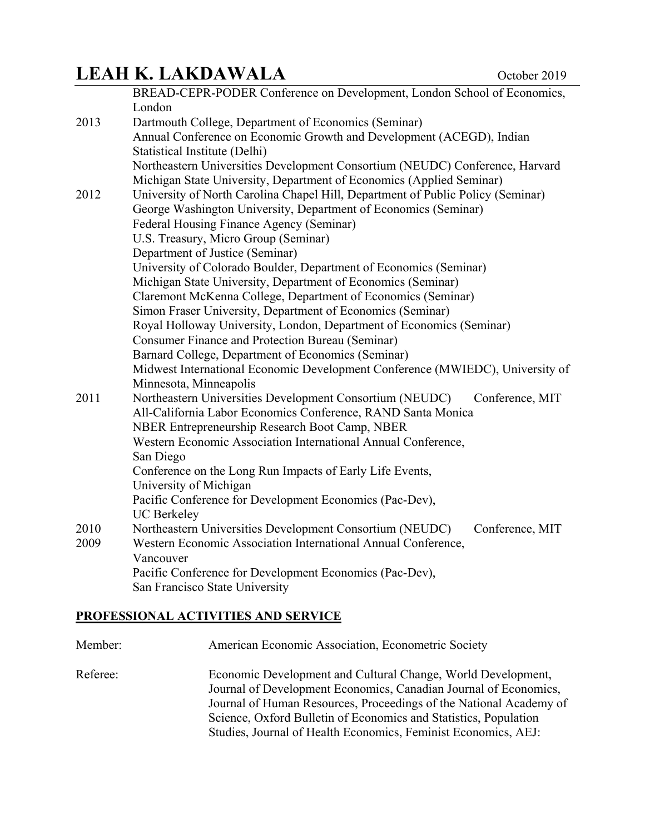|      | BREAD-CEPR-PODER Conference on Development, London School of Economics,         |
|------|---------------------------------------------------------------------------------|
|      | London                                                                          |
| 2013 | Dartmouth College, Department of Economics (Seminar)                            |
|      | Annual Conference on Economic Growth and Development (ACEGD), Indian            |
|      | Statistical Institute (Delhi)                                                   |
|      | Northeastern Universities Development Consortium (NEUDC) Conference, Harvard    |
|      | Michigan State University, Department of Economics (Applied Seminar)            |
| 2012 | University of North Carolina Chapel Hill, Department of Public Policy (Seminar) |
|      | George Washington University, Department of Economics (Seminar)                 |
|      | Federal Housing Finance Agency (Seminar)                                        |
|      | U.S. Treasury, Micro Group (Seminar)                                            |
|      | Department of Justice (Seminar)                                                 |
|      | University of Colorado Boulder, Department of Economics (Seminar)               |
|      | Michigan State University, Department of Economics (Seminar)                    |
|      | Claremont McKenna College, Department of Economics (Seminar)                    |
|      | Simon Fraser University, Department of Economics (Seminar)                      |
|      | Royal Holloway University, London, Department of Economics (Seminar)            |
|      | Consumer Finance and Protection Bureau (Seminar)                                |
|      | Barnard College, Department of Economics (Seminar)                              |
|      | Midwest International Economic Development Conference (MWIEDC), University of   |
|      | Minnesota, Minneapolis                                                          |
| 2011 | Northeastern Universities Development Consortium (NEUDC)<br>Conference, MIT     |
|      | All-California Labor Economics Conference, RAND Santa Monica                    |
|      | NBER Entrepreneurship Research Boot Camp, NBER                                  |
|      | Western Economic Association International Annual Conference,                   |
|      | San Diego                                                                       |
|      | Conference on the Long Run Impacts of Early Life Events,                        |
|      | University of Michigan                                                          |
|      | Pacific Conference for Development Economics (Pac-Dev),                         |
|      | <b>UC</b> Berkeley                                                              |
| 2010 | Northeastern Universities Development Consortium (NEUDC)<br>Conference, MIT     |
| 2009 | Western Economic Association International Annual Conference,                   |
|      | Vancouver                                                                       |
|      | Pacific Conference for Development Economics (Pac-Dev),                         |
|      | San Francisco State University                                                  |
|      |                                                                                 |

### **PROFESSIONAL ACTIVITIES AND SERVICE**

| Member:  | American Economic Association, Econometric Society                                                                                                                                                                                                                                                                                           |
|----------|----------------------------------------------------------------------------------------------------------------------------------------------------------------------------------------------------------------------------------------------------------------------------------------------------------------------------------------------|
| Referee: | Economic Development and Cultural Change, World Development,<br>Journal of Development Economics, Canadian Journal of Economics,<br>Journal of Human Resources, Proceedings of the National Academy of<br>Science, Oxford Bulletin of Economics and Statistics, Population<br>Studies, Journal of Health Economics, Feminist Economics, AEJ: |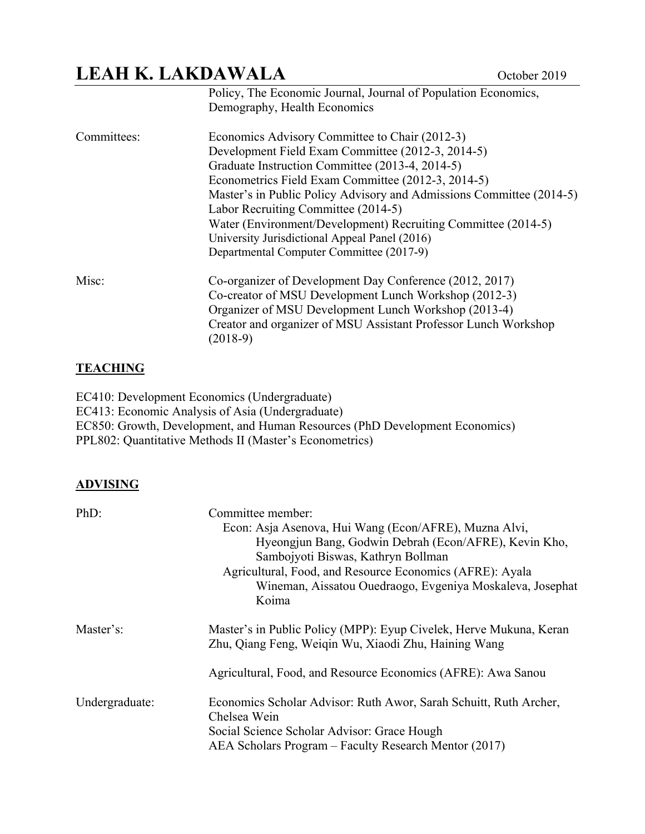|             | Policy, The Economic Journal, Journal of Population Economics,<br>Demography, Health Economics |
|-------------|------------------------------------------------------------------------------------------------|
| Committees: | Economics Advisory Committee to Chair (2012-3)                                                 |
|             | Development Field Exam Committee (2012-3, 2014-5)                                              |
|             | Graduate Instruction Committee (2013-4, 2014-5)                                                |
|             | Econometrics Field Exam Committee (2012-3, 2014-5)                                             |
|             | Master's in Public Policy Advisory and Admissions Committee (2014-5)                           |
|             | Labor Recruiting Committee (2014-5)                                                            |
|             | Water (Environment/Development) Recruiting Committee (2014-5)                                  |
|             | University Jurisdictional Appeal Panel (2016)                                                  |
|             | Departmental Computer Committee (2017-9)                                                       |
| Misc:       | Co-organizer of Development Day Conference (2012, 2017)                                        |
|             | Co-creator of MSU Development Lunch Workshop (2012-3)                                          |
|             | Organizer of MSU Development Lunch Workshop (2013-4)                                           |
|             | Creator and organizer of MSU Assistant Professor Lunch Workshop<br>$(2018-9)$                  |

#### **TEACHING**

EC410: Development Economics (Undergraduate) EC413: Economic Analysis of Asia (Undergraduate) EC850: Growth, Development, and Human Resources (PhD Development Economics) PPL802: Quantitative Methods II (Master's Econometrics)

#### **ADVISING**

| PhD:           | Committee member:                                                  |
|----------------|--------------------------------------------------------------------|
|                | Econ: Asja Asenova, Hui Wang (Econ/AFRE), Muzna Alvi,              |
|                | Hyeongjun Bang, Godwin Debrah (Econ/AFRE), Kevin Kho,              |
|                | Sambojyoti Biswas, Kathryn Bollman                                 |
|                | Agricultural, Food, and Resource Economics (AFRE): Ayala           |
|                | Wineman, Aissatou Ouedraogo, Evgeniya Moskaleva, Josephat          |
|                | Koima                                                              |
| Master's:      | Master's in Public Policy (MPP): Eyup Civelek, Herve Mukuna, Keran |
|                | Zhu, Qiang Feng, Weiqin Wu, Xiaodi Zhu, Haining Wang               |
|                | Agricultural, Food, and Resource Economics (AFRE): Awa Sanou       |
| Undergraduate: | Economics Scholar Advisor: Ruth Awor, Sarah Schuitt, Ruth Archer,  |
|                | Chelsea Wein                                                       |
|                | Social Science Scholar Advisor: Grace Hough                        |
|                | AEA Scholars Program – Faculty Research Mentor (2017)              |